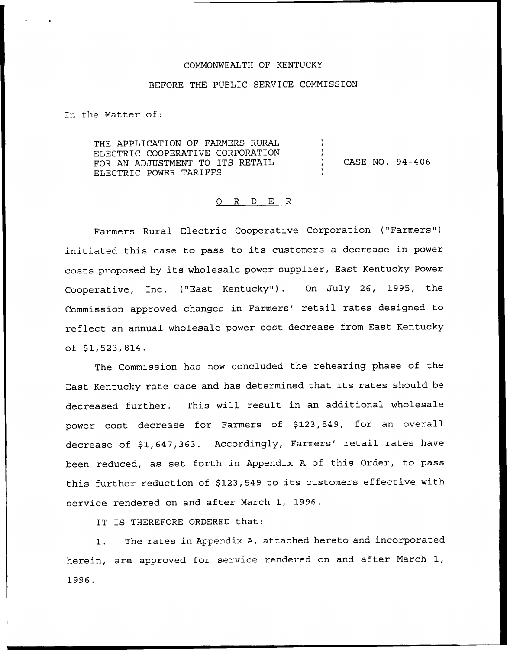#### COMMONWEALTH OF KENTUCKY

#### BEFORE THE PUBLIC SERVICE COMMISSION

In the Matter of:

THE APPLICATION OF FARMERS RURAL ELECTRIC COOPERATIVE CORPORATION FOR AN ADJUSTMENT TO ITS RETAIL ELECTRIC POWER TARIFFS  $\left( \right)$ ) ) CASE NO. 94-406 )

#### 0 R <sup>D</sup> E R

Farmers Rural Electric Cooperative Corporation ("Farmers" ) initiated this case to pass to its customers <sup>a</sup> decrease in power costs proposed by its wholesale power supplier, East Kentucky Power Cooperative, Inc. ("East Kentucky" ). On July 26, 1995, the Commission approved changes in Farmers' retail rates designed to reflect an annual wholesale power cost decrease from East Kentucky  $of$   $$1,523,814.$ 

The Commission has now concluded the rehearing phase of the East Kentucky rate case and has determined that its rates should be decreased further. This will result in an additional wholesale power cost decrease for Farmers of \$123,549, for an overall decrease of \$1,647,363. Accordingly, Farmers' retail rates have been reduced, as set forth in Appendix <sup>A</sup> of this Order, to pass this further reduction of \$123,549 to its customers effective with service rendered on and after March 1, 1996.

IT IS THEREFORE ORDERED that:

The rates in Appendix A, attached hereto and incorporated  $1.$ herein, are approved for service rendered on and after March 1, 1996.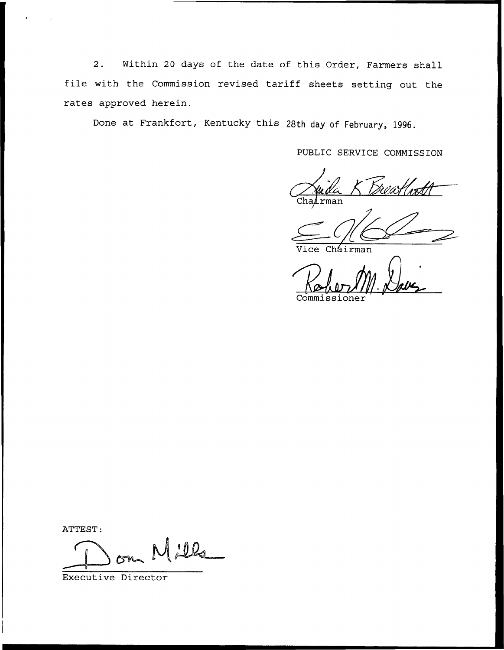2. Within <sup>20</sup> days of the date of this Order, Farmers shall file with the Commission revised tariff sheets setting out the rates approved herein.

Done at Frankfort, Kentucky this 2Sth day of February, 1996.

PUBLIC SERVICE COMMISSION

rman

ce Cháirman

Commissioner

ATTEST:

 $00<sub>o</sub>$ 

Executive Director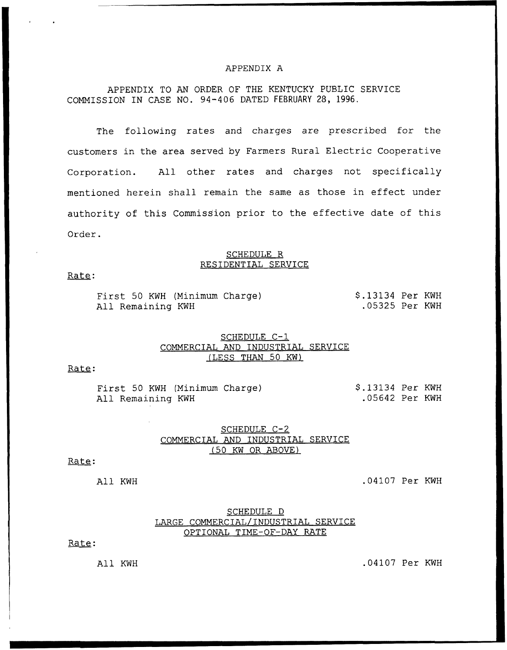#### APPENDIX A

APPENDIX TO AN ORDER OF THE KENTUCKY PUBLIC SERVICE COMMISSION IN CASE NO. 94-406 DATED FEBRUARY 28, 1996,

The following rates and charges are prescribed for the customers in the area served by Farmers Rural Electric Cooperative Corporation. All other rates and charges not specifically mentioned herein shall remain the same as those in effect under authority of this Commission prior to the effective date of this Order.

#### SCHEDULE R RESIDENTIAL SERVICE

#### Rate:

|  |  | First 50 KWH (Minimum Charge) | $$.13134$ Per KWH |  |
|--|--|-------------------------------|-------------------|--|
|  |  | All Remaining KWH             | .05325 Per KWH    |  |

## SCHEDULE C-1 COMMERCIAL AND INDUSTRIAL SERVICE (LESS THAN 50 KW)

## Rate:

First 50 KWH (Minimum Charge) All Remaining KWH \$ .13134 Per KWH .05642 Per KWH

### SCHEDULE C-2 COMMERCIAL AND INDUSTRIAL SERVICE {50 KW OR ABOVE)

#### Rate:

All KWH .04107 Per KWH

## SCHEDULE D LARGE COMMERCIAL/INDUSTRIAL SERVICE OPTIONAL TIME-OF-DAY RATE

Rate:

All KWH .04107 Per KWH